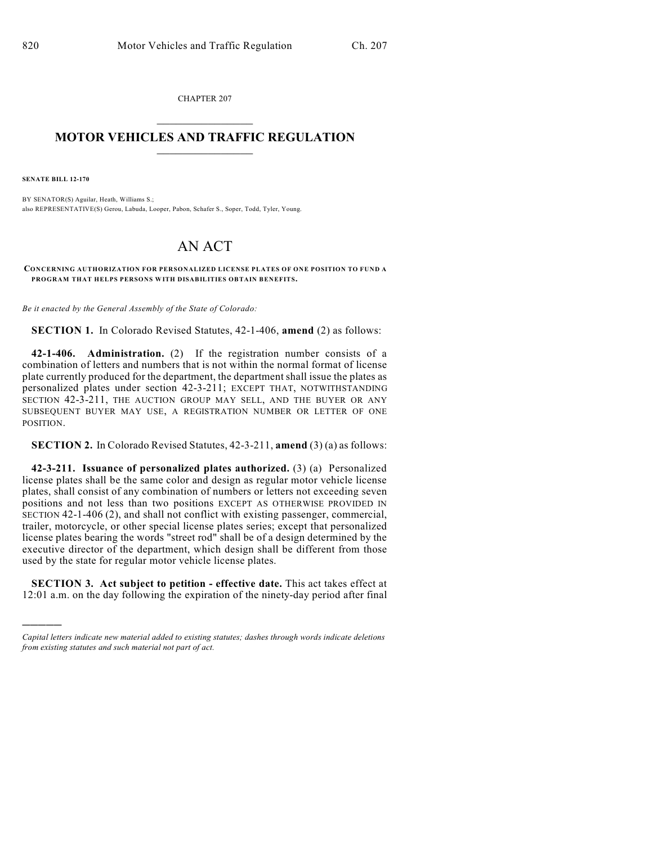CHAPTER 207  $\mathcal{L}_\text{max}$  . The set of the set of the set of the set of the set of the set of the set of the set of the set of the set of the set of the set of the set of the set of the set of the set of the set of the set of the set

## **MOTOR VEHICLES AND TRAFFIC REGULATION**  $\frac{1}{2}$  ,  $\frac{1}{2}$  ,  $\frac{1}{2}$  ,  $\frac{1}{2}$  ,  $\frac{1}{2}$  ,  $\frac{1}{2}$  ,  $\frac{1}{2}$  ,  $\frac{1}{2}$

**SENATE BILL 12-170**

)))))

BY SENATOR(S) Aguilar, Heath, Williams S.; also REPRESENTATIVE(S) Gerou, Labuda, Looper, Pabon, Schafer S., Soper, Todd, Tyler, Young.

## AN ACT

**CONCERNING AUTHORIZATION FOR PERSONALIZED LICENSE PLATES OF ONE POSITION TO FUND A PROGRAM THAT HELPS PERSONS WITH DISABILITIES OBTAIN BENEFITS.**

*Be it enacted by the General Assembly of the State of Colorado:*

**SECTION 1.** In Colorado Revised Statutes, 42-1-406, **amend** (2) as follows:

**42-1-406. Administration.** (2) If the registration number consists of a combination of letters and numbers that is not within the normal format of license plate currently produced for the department, the department shall issue the plates as personalized plates under section 42-3-211; EXCEPT THAT, NOTWITHSTANDING SECTION 42-3-211, THE AUCTION GROUP MAY SELL, AND THE BUYER OR ANY SUBSEQUENT BUYER MAY USE, A REGISTRATION NUMBER OR LETTER OF ONE POSITION.

**SECTION 2.** In Colorado Revised Statutes, 42-3-211, **amend** (3) (a) as follows:

**42-3-211. Issuance of personalized plates authorized.** (3) (a) Personalized license plates shall be the same color and design as regular motor vehicle license plates, shall consist of any combination of numbers or letters not exceeding seven positions and not less than two positions EXCEPT AS OTHERWISE PROVIDED IN SECTION 42-1-406 (2), and shall not conflict with existing passenger, commercial, trailer, motorcycle, or other special license plates series; except that personalized license plates bearing the words "street rod" shall be of a design determined by the executive director of the department, which design shall be different from those used by the state for regular motor vehicle license plates.

**SECTION 3. Act subject to petition - effective date.** This act takes effect at 12:01 a.m. on the day following the expiration of the ninety-day period after final

*Capital letters indicate new material added to existing statutes; dashes through words indicate deletions from existing statutes and such material not part of act.*